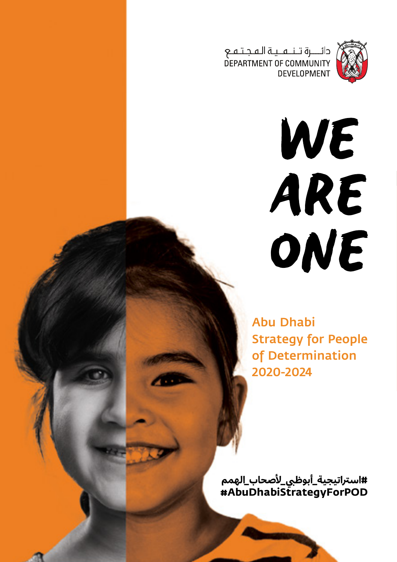

دائـــــرة تــنـــهـــيـة الـهـجـتـهــع<br>DEPARTMENT OF COMMUNITY<br>DEVELOPMENT

WE ARE ONE

Abu Dhabi Strategy for People of Determination 2020-2024

#استراتيجيه\_ابوظ<u>بي\_</u>لاصحاب\_الهمم **#AbuDhabiStrategyForPOD**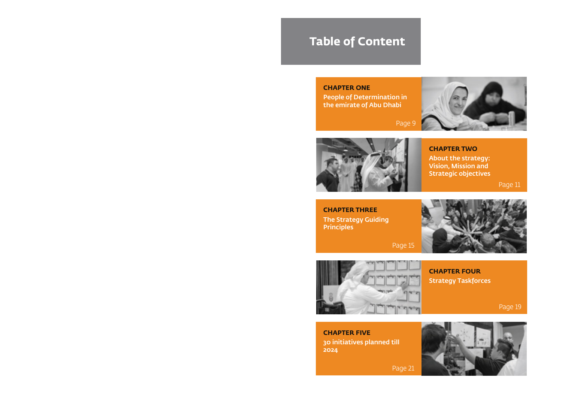## **Table of Content**

#### **CHAPTER ONE**

People of Determination in the emirate of Abu Dhabi



Page 9



**CHAPTER TWO**

About the strategy: Vision, Mission and Strategic objectives

Page 11

The Strategy Guiding Principles **CHAPTER THREE**



Page 15



Strategy Taskforces **CHAPTER FOUR**

Page 19

30 initiatives planned till 2024 **CHAPTER FIVE**



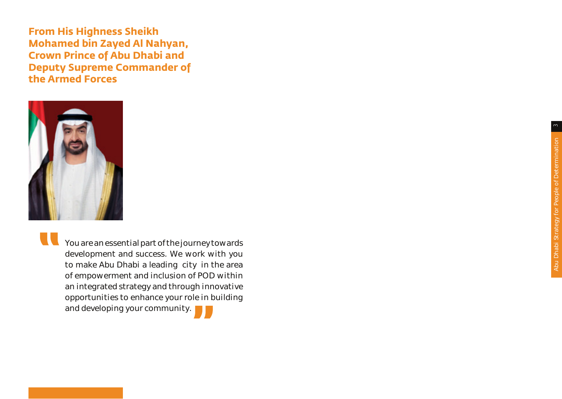**From His Highness Sheikh Mohamed bin Zayed Al Nahyan, Crown Prince of Abu Dhabi and Deputy Supreme Commander of the Armed Forces** 



**THE You are an essential part of the journey towards** development and success. We work with you to make Abu Dhabi a leading city in the area of empowerment and inclusion of POD within an integrated strategy and through innovative opportunities to enhance your role in building and developing your community.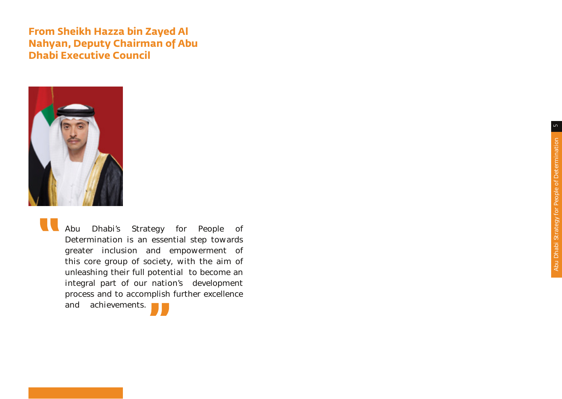### **From Sheikh Hazza bin Zayed Al Nahyan, Deputy Chairman of Abu Dhabi Executive Council**



Abu Dhabi's Strategy for People of Determination is an essential step towards greater inclusion and empowerment of this core group of society, with the aim of unleashing their full potential to become an integral part of our nation's development process and to accomplish further excellence and achievements.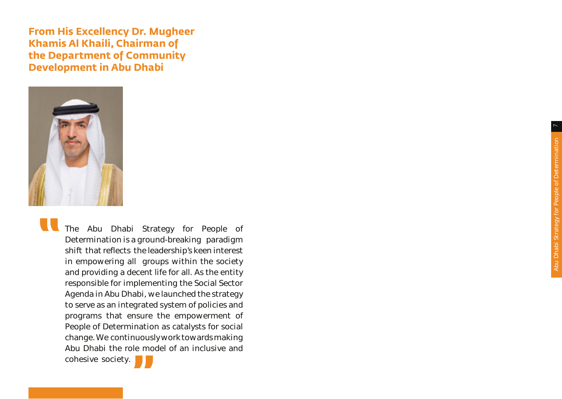**From His Excellency Dr. Mugheer Khamis Al Khaili, Chairman of the Department of Community Development in Abu Dhabi** 



The Abu Dhabi Strategy for People of Determination is a ground-breaking paradigm shift that reflects the leadership's keen interest in empowering all groups within the society and providing a decent life for all. As the entity responsible for implementing the Social Sector Agenda in Abu Dhabi, we launched the strategy to serve as an integrated system of policies and programs that ensure the empowerment of People of Determination as catalysts for social change. We continuously work towards making Abu Dhabi the role model of an inclusive and cohesive society.

Abu Dhabi Strategy for People of Determination 7 Abu Dhabi Strategy for People of Determination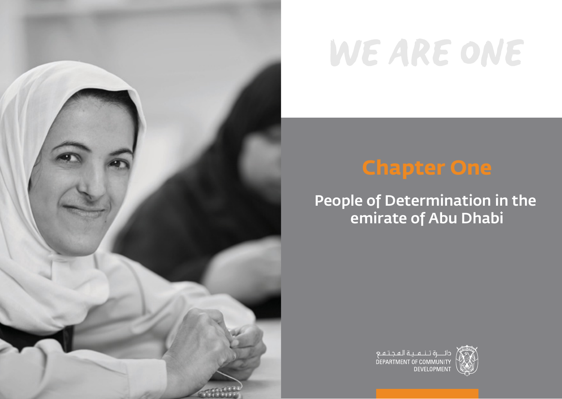

# WE ARE ONE

# **Chapter One**

## People of Determination in the emirate of Abu Dhabi



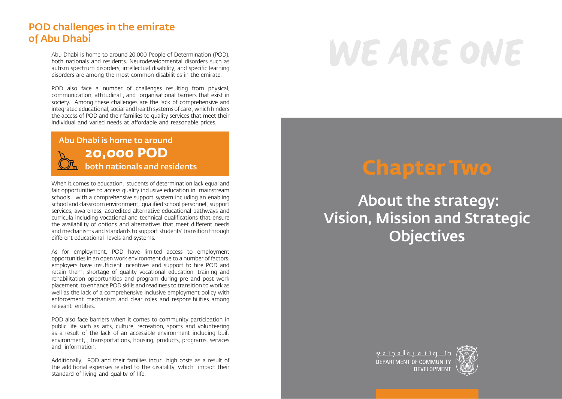### POD challenges in the emirate of Abu Dhabi

Abu Dhabi is home to around 20,000 People of Determination (POD), both nationals and residents. Neurodevelopmental disorders such as autism spectrum disorders, intellectual disability, and specific learning disorders are among the most common disabilities in the emirate.

POD also face a number of challenges resulting from physical, communication, attitudinal , and organisational barriers that exist in society. Among these challenges are the lack of comprehensive and integrated educational, social and health systems of care , which hinders the access of POD and their families to quality services that meet their individual and varied needs at affordable and reasonable prices.

Abu Dhabi is home to around **20,000 POD**

When it comes to education, students of determination lack equal and fair opportunities to access quality inclusive education in mainstream schools with a comprehensive support system including an enabling school and classroom environment, qualified school personnel , support services, awareness, accredited alternative educational pathways and curricula including vocational and technical qualifications that ensure the availability of options and alternatives that meet different needs and mechanisms and standards to support students' transition through different educational levels and systems.

As for employment, POD have limited access to employment opportunities in an open work environment due to a number of factors: employers have insufficient incentives and support to hire POD and retain them, shortage of quality vocational education, training and rehabilitation opportunities and program during pre and post work placement to enhance POD skills and readiness to transition to work as well as the lack of a comprehensive inclusive employment policy with enforcement mechanism and clear roles and responsibilities among relevant entities.

POD also face barriers when it comes to community participation in public life such as arts, culture, recreation, sports and volunteering as a result of the lack of an accessible environment including built environment, , transportations, housing, products, programs, services and information.

Additionally, POD and their families incur high costs as a result of the additional expenses related to the disability, which impact their standard of living and quality of life.

# WE ARE ONE

## **both nationals and residents Chapter Two**

 About the strategy: Vision, Mission and Strategic **Objectives** 



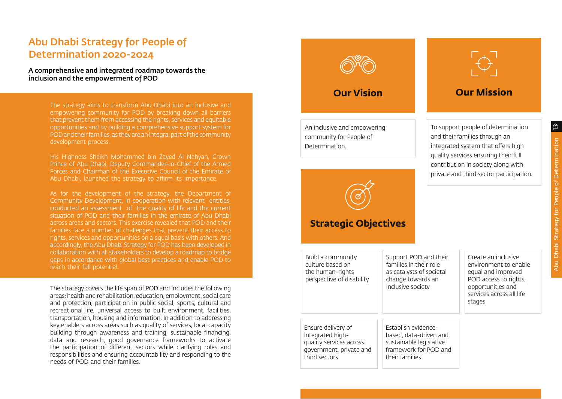### Abu Dhabi Strategy for People of Determination 2020-2024

#### A comprehensive and integrated roadmap towards the inclusion and the empowerment of POD

The strategy aims to transform Abu Dhabi into an inclusive and empowering community for POD by breaking down all barriers that prevent them from accessing the rights, services and equitable opportunities and by building a comprehensive support system for POD and their families, as they are an integral part of the community development process.

His Highness Sheikh Mohammed bin Zayed Al Nahyan, Crown Prince of Abu Dhabi, Deputy Commander-in-Chief of the Armed Forces and Chairman of the Executive Council of the Emirate of Abu Dhabi, launched the strategy to affirm its importance.

As for the development of the strategy, the Department of Community Development, in cooperation with relevant entities, conducted an assessment of the quality of life and the current situation of POD and their families in the emirate of Abu Dhabi across areas and sectors. This exercise revealed that POD and their families face a number of challenges that prevent their access to rights, services and opportunities on a equal basis with others. And accordingly, the Abu Dhabi Strategy for POD has been developed in collaboration with all stakeholders to develop a roadmap to bridge gaps in accordance with global best practices and enable POD to reach their full potential.

The strategy covers the life span of POD and includes the following areas: health and rehabilitation, education, employment, social care and protection, participation in public social, sports, cultural and recreational life, universal access to built environment, facilities, transportation, housing and information. In addition to addressing key enablers across areas such as quality of services, local capacity building through awareness and training, sustainable financing, data and research, good governance frameworks to activate the participation of different sectors while clarifying roles and responsibilities and ensuring accountability and responding to the needs of POD and their families.

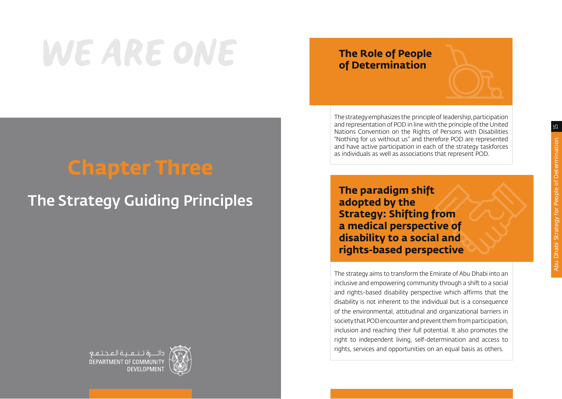# WE ARE ONE

# **Chapter Three**

## The Strategy Guiding Principles



### **The Role of People of Determination**

The strategy emphasizes the principle of leadership, participation and representation of POD in line with the principle of the United Nations Convention on the Rights of Persons with Disabilities "Nothing for us without us" and therefore POD are represented and have active participation in each of the strategy taskforces as individuals as well as associations that represent POD.

**The paradigm shift adopted by the Strategy: Shifting from a medical perspective of disability to a social and rights-based perspective**

The strategy aims to transform the Emirate of Abu Dhabi into an inclusive and empowering community through a shift to a social and rights-based disability perspective which affirms that the disability is not inherent to the individual but is a consequence of the environmental, attitudinal and organizational barriers in society that POD encounter and prevent them from participation, inclusion and reaching their full potential. It also promotes the right to independent living, self-determination and access to rights, services and opportunities on an equal basis as others.

 $\Xi$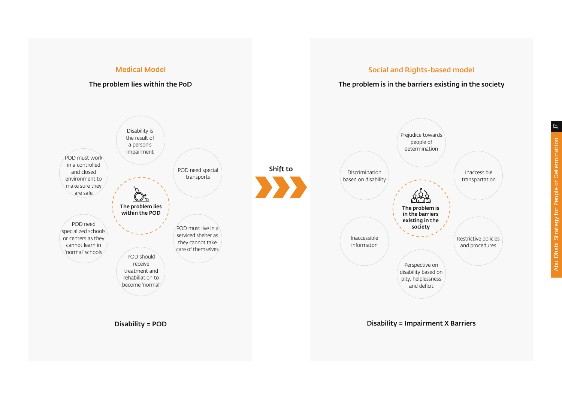#### Medical Model

#### The problem lies within the PoD

#### Social and Rights-based model

#### The problem is in the barriers existing in the society



 $\overline{L}$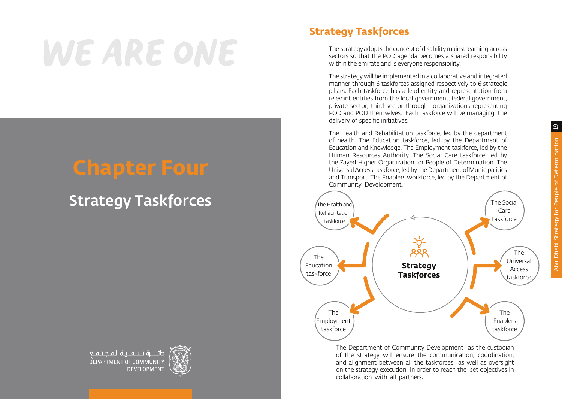# $19$ Abu Dhabi Strategy for People of Determination 19 Abu Dhabi Strategy for People of Determination

# WE ARE ONE

## **Chapter Four**

## Strategy Taskforces





### **Strategy Taskforces**

The strategy adopts the concept of disability mainstreaming across sectors so that the POD agenda becomes a shared responsibility within the emirate and is everyone responsibility.

The strategy will be implemented in a collaborative and integrated manner through 6 taskforces assigned respectively to 6 strategic pillars. Each taskforce has a lead entity and representation from relevant entities from the local government, federal government, private sector, third sector through organizations representing POD and POD themselves. Each taskforce will be managing the delivery of specific initiatives.

The Health and Rehabilitation taskforce, led by the department of health. The Education taskforce, led by the Department of Education and Knowledge. The Employment taskforce, led by the Human Resources Authority. The Social Care taskforce, led by the Zayed Higher Organization for People of Determination. The Universal Access taskforce, led by the Department of Municipalities and Transport. The Enablers workforce, led by the Department of Community Development.



The Department of Community Development as the custodian of the strategy will ensure the communication, coordination, and alignment between all the taskforces as well as oversight on the strategy execution in order to reach the set objectives in collaboration with all partners.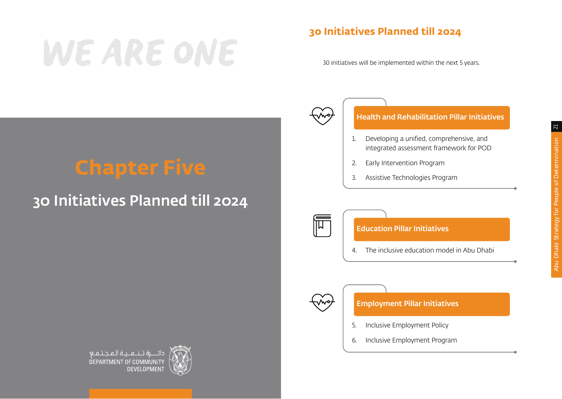# WE ARE ONE

## **30 Initiatives Planned till 2024**

30 initiatives will be implemented within the next 5 years.



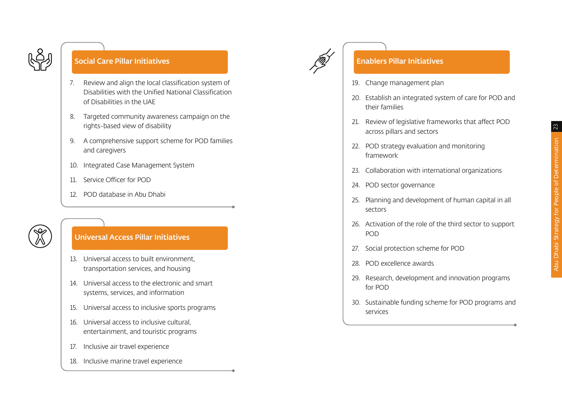

#### Enablers Pillar Initiatives

- 19. Change management plan
- 20. Establish an integrated system of care for POD and their families
- 21. Review of legislative frameworks that affect POD across pillars and sectors
- 22. POD strategy evaluation and monitoring framework
- 23. Collaboration with international organizations
- 24. POD sector governance
- 25. Planning and development of human capital in all sectors
- 26. Activation of the role of the third sector to support POD
- 27. Social protection scheme for POD
- 28. POD excellence awards
- 29. Research, development and innovation programs for POD
- 30. Sustainable funding scheme for POD programs and services



#### Social Care Pillar Initiatives

- 7. Review and align the local classification system of Disabilities with the Unified National Classification of Disabilities in the UAE
- 8. Targeted community awareness campaign on the rights-based view of disability
- 9. A comprehensive support scheme for POD families and caregivers
- 10. Integrated Case Management System
- 11. Service Officer for POD
- 12. POD database in Abu Dhabi



#### Universal Access Pillar Initiatives

- 13. Universal access to built environment, transportation services, and housing
- 14. Universal access to the electronic and smart systems, services, and information
- 15. Universal access to inclusive sports programs
- 16. Universal access to inclusive cultural, entertainment, and touristic programs
- 17. Inclusive air travel experience
- 18. Inclusive marine travel experience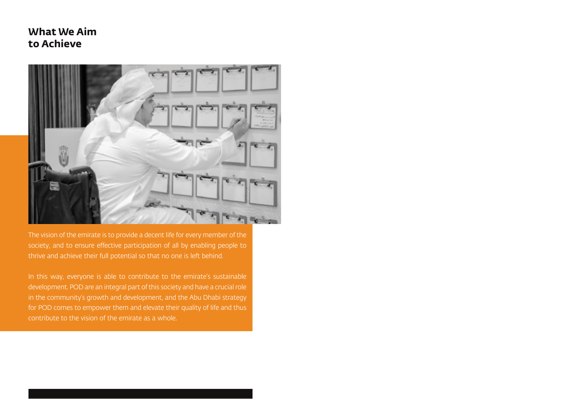### **What We Aim to Achieve**



The vision of the emirate is to provide a decent life for every member of the society, and to ensure effective participation of all by enabling people to thrive and achieve their full potential so that no one is left behind.

In this way, everyone is able to contribute to the emirate's sustainable development. POD are an integral part of this society and have a crucial role in the community's growth and development, and the Abu Dhabi strategy for POD comes to empower them and elevate their quality of life and thus contribute to the vision of the emirate as a whole.